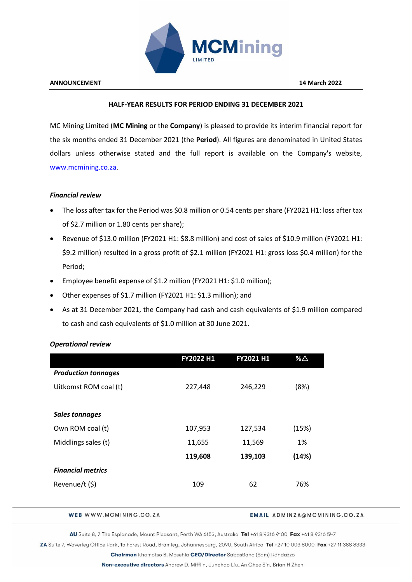

### **HALF-YEAR RESULTS FOR PERIOD ENDING 31 DECEMBER 2021**

MC Mining Limited (**MC Mining** or the **Company**) is pleased to provide its interim financial report for the six months ended 31 December 2021 (the **Period**). All figures are denominated in United States dollars unless otherwise stated and the full report is available on the Company's website, [www.mcmining.co.za.](http://www.mcmining.co.za/)

## *Financial review*

- The loss after tax for the Period was \$0.8 million or 0.54 cents per share (FY2021 H1: loss after tax of \$2.7 million or 1.80 cents per share);
- Revenue of \$13.0 million (FY2021 H1: \$8.8 million) and cost of sales of \$10.9 million (FY2021 H1: \$9.2 million) resulted in a gross profit of \$2.1 million (FY2021 H1: gross loss \$0.4 million) for the Period;
- Employee benefit expense of \$1.2 million (FY2021 H1: \$1.0 million);
- Other expenses of \$1.7 million (FY2021 H1: \$1.3 million); and
- As at 31 December 2021, the Company had cash and cash equivalents of \$1.9 million compared to cash and cash equivalents of \$1.0 million at 30 June 2021.

|                            | FY2022 H1 | FY2021 H1 | % $\triangle$ |
|----------------------------|-----------|-----------|---------------|
| <b>Production tonnages</b> |           |           |               |
| Uitkomst ROM coal (t)      | 227,448   | 246,229   | (8%)          |
|                            |           |           |               |
| <b>Sales tonnages</b>      |           |           |               |
| Own ROM coal (t)           | 107,953   | 127,534   | (15%)         |
| Middlings sales (t)        | 11,655    | 11,569    | 1%            |
|                            | 119,608   | 139,103   | (14%)         |
| <b>Financial metrics</b>   |           |           |               |
| Revenue/t (\$)             | 109       | 62        | 76%           |
|                            |           |           |               |

# *Operational review*

WEB WWW.MCMINING.CO.ZA

#### **EMAIL ADMINZA@MCMINING.CO.ZA**

AU Suite 8, 7 The Esplanade, Mount Pleasant, Perth WA 6153, Australia Tel +61 8 9316 9100 Fax +61 8 9316 547

ZA Suite 7, Waverley Office Park, 15 Forest Road, Bramley, Johannesburg, 2090, South Africa Tel +27 10 003 8000 Fax +27 11 388 8333

Chairman Khomotso B. Mosehla CEO/Director Sabastiano (Sam) Randazzo

Non-executive directors Andrew D. Mifflin, Junchao Liu, An Chee Sin, Brian H Zhen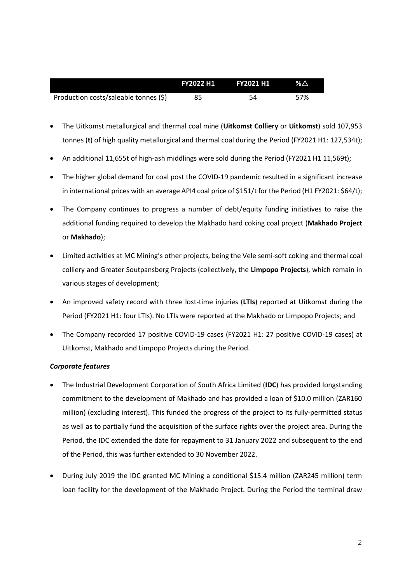|                                       | <b>FY2022 H1</b> | <b>FY2021 H1</b> | $\%$ $\triangle$ |
|---------------------------------------|------------------|------------------|------------------|
| Production costs/saleable tonnes (\$) |                  | 54               | 57%              |

- The Uitkomst metallurgical and thermal coal mine (**Uitkomst Colliery** or **Uitkomst**) sold 107,953 tonnes (**t**) of high quality metallurgical and thermal coal during the Period (FY2021 H1: 127,534t);
- An additional 11,655t of high-ash middlings were sold during the Period (FY2021 H1 11,569t);
- The higher global demand for coal post the COVID-19 pandemic resulted in a significant increase in international prices with an average API4 coal price of \$151/t for the Period (H1 FY2021: \$64/t);
- The Company continues to progress a number of debt/equity funding initiatives to raise the additional funding required to develop the Makhado hard coking coal project (**Makhado Project** or **Makhado**);
- Limited activities at MC Mining's other projects, being the Vele semi-soft coking and thermal coal colliery and Greater Soutpansberg Projects (collectively, the **Limpopo Projects**), which remain in various stages of development;
- An improved safety record with three lost-time injuries (**LTIs**) reported at Uitkomst during the Period (FY2021 H1: four LTIs). No LTIs were reported at the Makhado or Limpopo Projects; and
- The Company recorded 17 positive COVID-19 cases (FY2021 H1: 27 positive COVID-19 cases) at Uitkomst, Makhado and Limpopo Projects during the Period.

## *Corporate features*

- The Industrial Development Corporation of South Africa Limited (**IDC**) has provided longstanding commitment to the development of Makhado and has provided a loan of \$10.0 million (ZAR160 million) (excluding interest). This funded the progress of the project to its fully-permitted status as well as to partially fund the acquisition of the surface rights over the project area. During the Period, the IDC extended the date for repayment to 31 January 2022 and subsequent to the end of the Period, this was further extended to 30 November 2022.
- During July 2019 the IDC granted MC Mining a conditional \$15.4 million (ZAR245 million) term loan facility for the development of the Makhado Project. During the Period the terminal draw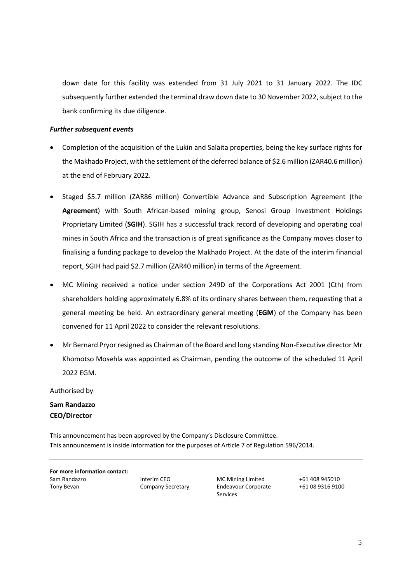down date for this facility was extended from 31 July 2021 to 31 January 2022. The IDC subsequently further extended the terminal draw down date to 30 November 2022, subject to the bank confirming its due diligence.

### *Further subsequent events*

- Completion of the acquisition of the Lukin and Salaita properties, being the key surface rights for the Makhado Project, with the settlement of the deferred balance of \$2.6 million (ZAR40.6 million) at the end of February 2022.
- Staged \$5.7 million (ZAR86 million) Convertible Advance and Subscription Agreement (the **Agreement**) with South African-based mining group, Senosi Group Investment Holdings Proprietary Limited (**SGIH**). SGIH has a successful track record of developing and operating coal mines in South Africa and the transaction is of great significance as the Company moves closer to finalising a funding package to develop the Makhado Project. At the date of the interim financial report, SGIH had paid \$2.7 million (ZAR40 million) in terms of the Agreement.
- MC Mining received a notice under section 249D of the Corporations Act 2001 (Cth) from shareholders holding approximately 6.8% of its ordinary shares between them, requesting that a general meeting be held. An extraordinary general meeting (**EGM**) of the Company has been convened for 11 April 2022 to consider the relevant resolutions.
- Mr Bernard Pryor resigned as Chairman of the Board and long standing Non-Executive director Mr Khomotso Mosehla was appointed as Chairman, pending the outcome of the scheduled 11 April 2022 EGM.

Authorised by

**Sam Randazzo CEO/Director**

This announcement has been approved by the Company's Disclosure Committee. This announcement is inside information for the purposes of Article 7 of Regulation 596/2014.

**For more information contact:** Sam Randazzo **Interim CEO** MC Mining Limited +61 408 945010 Tony Bevan Company Secretary Endeavour Corporate

Services

+61 08 9316 9100